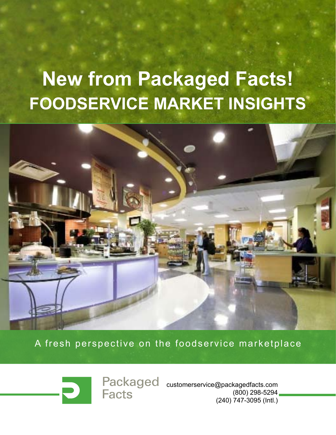# **New from Packaged Facts! FOODSERVICE MARKET INSIGHTS**



A fresh perspective on the foodservice marketplace

**Facts** 

Packaged customerservice@packagedfacts.com (800) 298-5294 (240) 747-3095 (Intl.)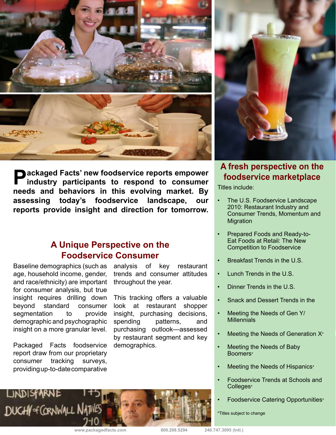

**Packaged Facts' new foodservice reports empower**<br>industry participants to respond to consumer<br>meads and behaviour in this construction mealed. Pro**needs and behaviors in this evolving market. By assessing today's foodservice landscape, our reports provide insight and direction for tomorrow.** 

#### **A Unique Perspective on the Foodservice Consumer**

Baseline demographics (such as age, household income, gender, and race/ethnicity) are important for consumer analysis, but true insight requires drilling down beyond standard consumer segmentation to provide demographic and psychographic insight on a more granular level.

Packaged Facts foodservice report draw from our proprietary consumer tracking surveys, providing up-to-date comparative

analysis of key restaurant trends and consumer attitudes throughout the year.

This tracking offers a valuable look at restaurant shopper insight, purchasing decisions, spending patterns, and purchasing outlook—assessed by restaurant segment and key demographics.



#### **A fresh perspective on the foodservice marketplace**

Titles include:

- The U.S. Foodservice Landscape 2010: Restaurant Industry and Consumer Trends, Momentum and Migration
- Prepared Foods and Ready-to-Eat Foods at Retail: The New Competition to Foodservice
- Breakfast Trends in the U.S.
- Lunch Trends in the U.S.
- Dinner Trends in the U.S.
- Snack and Dessert Trends in the
- Meeting the Needs of Gen Y/ **Millennials**
- Meeting the Needs of Generation X\*
- Meeting the Needs of Baby Boomers\*
- Meeting the Needs of Hispanics\*
- Foodservice Trends at Schools and Colleges\*
	- Foodservice Catering Opportunities\*

\*Titles subject to change

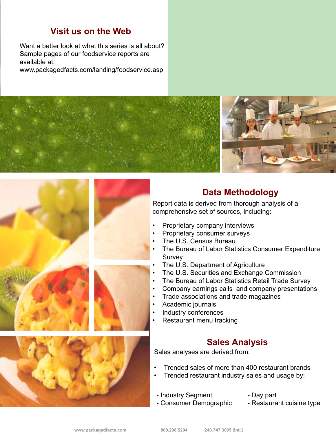#### **Visit us on the Web**

Want a better look at what this series is all about? Sample pages of our foodservice reports are available at:

www.packagedfacts.com/landing/foodservice.asp





#### **Data Methodology**

Report data is derived from thorough analysis of a comprehensive set of sources, including:

- Proprietary company interviews
- Proprietary consumer surveys
- The U.S. Census Bureau
- The Bureau of Labor Statistics Consumer Expenditure Survey
- • The U.S. Department of Agriculture
- The U.S. Securities and Exchange Commission
- The Bureau of Labor Statistics Retail Trade Survey
- • Company earnings calls and company presentations
- • Trade associations and trade magazines
- • Academic journals
- • Industry conferences
- • Restaurant menu tracking

#### **Sales Analysis**

Sales analyses are derived from:

- Trended sales of more than 400 restaurant brands
- Trended restaurant industry sales and usage by:
- Industry Segment
- Consumer Demographic
- Day part
- Restaurant cuisine type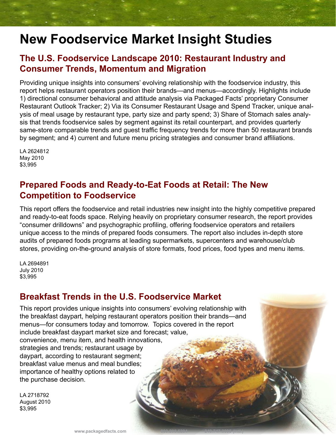### **New Foodservice Market Insight Studies**

#### **The U.S. Foodservice Landscape 2010: Restaurant Industry and Consumer Trends, Momentum and Migration**

Providing unique insights into consumers' evolving relationship with the foodservice industry, this report helps restaurant operators position their brands—and menus—accordingly. Highlights include 1) directional consumer behavioral and attitude analysis via Packaged Facts' proprietary Consumer Restaurant Outlook Tracker; 2) Via its Consumer Restaurant Usage and Spend Tracker, unique analysis of meal usage by restaurant type, party size and party spend; 3) Share of Stomach sales analysis that trends foodservice sales by segment against its retail counterpart, and provides quarterly same-store comparable trends and guest traffic frequency trends for more than 50 restaurant brands by segment; and 4) current and future menu pricing strategies and consumer brand affiliations.

LA 2624812 May 2010 \$3,995

#### **Prepared Foods and Ready-to-Eat Foods at Retail: The New Competition to Foodservice**

This report offers the foodservice and retail industries new insight into the highly competitive prepared and ready-to-eat foods space. Relying heavily on proprietary consumer research, the report provides "consumer drilldowns" and psychographic profiling, offering foodservice operators and retailers unique access to the minds of prepared foods consumers. The report also includes in-depth store audits of prepared foods programs at leading supermarkets, supercenters and warehouse/club stores, providing on-the-ground analysis of store formats, food prices, food types and menu items.

LA 2694891 July 2010 \$3,995

#### **Breakfast Trends in the U.S. Foodservice Market**

This report provides unique insights into consumers' evolving relationship with the breakfast daypart, helping restaurant operators position their brands—and menus—for consumers today and tomorrow. Topics covered in the report include breakfast daypart market size and forecast; value, convenience, menu item, and health innovations, strategies and trends; restaurant usage by daypart, according to restaurant segment; breakfast value menus and meal bundles; importance of healthy options related to the purchase decision.

LA 2718792 August 2010 \$3,995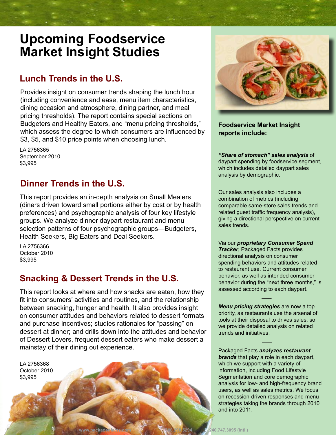### **Upcoming Foodservice Market Insight Studies**

#### **Lunch Trends in the U.S.**

Provides insight on consumer trends shaping the lunch hour (including convenience and ease, menu item characteristics, dining occasion and atmosphere, dining partner, and meal pricing thresholds). The report contains special sections on Budgeters and Healthy Eaters, and "menu pricing thresholds," which assess the degree to which consumers are influenced by \$3, \$5, and \$10 price points when choosing lunch.

LA 2756365 September 2010 \$3,995

#### **Dinner Trends in the U.S.**

This report provides an in-depth analysis on Small Mealers (diners driven toward small portions either by cost or by health preferences) and psychographic analysis of four key lifestyle groups. We analyze dinner daypart restaurant and menu selection patterns of four psychographic groups—Budgeters, Health Seekers, Big Eaters and Deal Seekers.

LA 2756366 October 2010 \$3,995

#### **Snacking & Dessert Trends in the U.S.**

This report looks at where and how snacks are eaten, how they fit into consumers' activities and routines, and the relationship between snacking, hunger and health. It also provides insight on consumer attitudes and behaviors related to dessert formats and purchase incentives; studies rationales for "passing" on dessert at dinner; and drills down into the attitudes and behavior of Dessert Lovers, frequent dessert eaters who make dessert a mainstay of their dining out experience.

LA 2756368 October 2010 \$3,995



**Foodservice Market Insight reports include:**

*"Share of stomach" sales analysis* of daypart spending by foodservice segment, which includes detailed daypart sales analysis by demographic.

Our sales analysis also includes a combination of metrics (including comparable same-store sales trends and related guest traffic frequency analysis), giving a directional perspective on current sales trends.  $\mathcal{L}$ 

Via our *proprietary Consumer Spend Tracker*, Packaged Facts provides directional analysis on consumer spending behaviors and attitudes related to restaurant use. Current consumer behavior, as well as intended consumer behavior during the "next three months," is assessed according to each daypart.  $\mathcal{L}$ 

*Menu pricing strategies* are now a top priority, as restaurants use the arsenal of tools at their disposal to drives sales, so we provide detailed analysis on related trends and initiatives.

 $\mathcal{L}$ 

Packaged Facts *analyzes restaurant brands* that play a role in each daypart, which we support with a variety of information, including Food Lifestyle Segmentation and core demographic analysis for low- and high-frequency brand users, as well as sales metrics. We focus on recession-driven responses and menu strategies taking the brands through 2010 and into 2011.

**www.packagedfacts.com 800.298.5294 240.747.3095 (Intl.)**